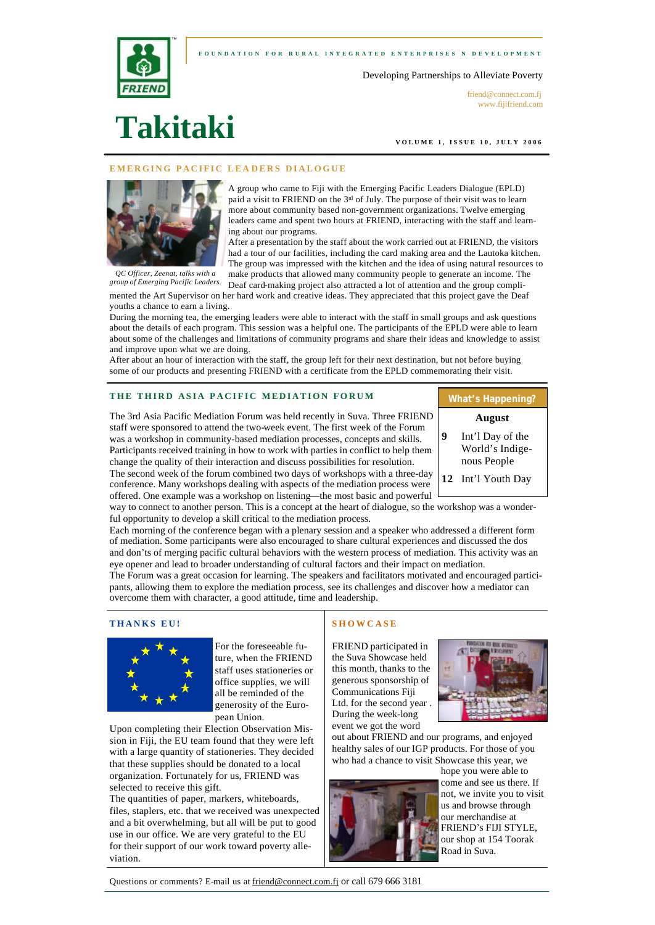## **FOUNDATION FOR RURAL INTEGRATED ENTERPRI SES N DEVELOPMENT**





friend@connect.com.fi www.fijifriend.com

# **Takitaki**

™

**VOLUME 1, ISSUE 10, JULY 2006** 

## **IFIC LEADERS DIALOGUE**



*QC Officer, Zeenat, talks with a* 

paid a visit to FRIEND on the  $3<sup>rd</sup>$  of July. The purpose of their visit was to learn more about community based non-government organizations. Twelve emerging leaders came and spent two hours at FRIEND, interacting with the staff and learning about our programs. After a presentation by the staff about the work carried out at FRIEND, the visitors

A group who came to Fiji with the Emerging Pacific Leaders Dialogue (EPLD)

had a tour of our facilities, including the card making area and the Lautoka kitchen. The group was impressed with the kitchen and the idea of using natural resources to make products that allowed many community people to generate an income. The

Deaf card-making project also attracted a lot of attention and the group complimented the Art Supervisor on her hard work and creative ideas. They appreciated that this project gave the Deaf youths a chance to earn a living. *group of Emerging Pacific Leaders.*

During the morning tea, the emerging leaders were able to interact with the staff in small groups and ask questions about the details of each program. This session was a helpful one. The participants of the EPLD were able to learn about some of the challenges and limitations of community programs and share their ideas and knowledge to assist and improve upon what we are doing.

After about an hour of interaction with the staff, the group left for their next destination, but not before buying some of our products and presenting FRIEND with a certificate from the EPLD commemorating their visit.

## THE THIRD ASIA PACIFIC MEDIATION FORUM

The 3rd Asia Pacific Mediation Forum was held recently in Suva. Three FRIEND staff were sponsored to attend the two-week event. The first week of the Forum was a workshop in community-based mediation processes, concepts and skills. Participants received training in how to work with parties in conflict to help them change the quality of their interaction and discuss possibilities for resolution.

The second week of the forum combined two days of workshops with a three-day conference. Many workshops dealing with aspects of the mediation process were offered. One example was a workshop on listening—the most basic and powerful

way to connect to another person. This is a concept at the heart of dialogue, so the workshop was a wonderful opportunity to develop a skill critical to the mediation process.

Each morning of the conference began with a plenary session and a speaker who addressed a different form of mediation. Some participants were also encouraged to share cultural experiences and discussed the dos and don'ts of merging pacific cultural behaviors with the western process of mediation. This activity was an eye opener and lead to broader understanding of cultural factors and their impact on mediation.

The Forum was a great occasion for learning. The speakers and facilitators motivated and encouraged participants, allowing them to explore the mediation process, see its challenges and discover how a mediator can overcome them with character, a good attitude, time and leadership.

## **THANKS EU!**



For the foreseeable future, when the FRIEND staff uses stationeries or office supplies, we will all be reminded of the generosity of the European Union.

Upon completing their Election Observation Mission in Fiji, the EU team found that they were left with a large quantity of stationeries. They decided that these supplies should be donated to a local organization. Fortunately for us, FRIEND was selected to receive this gift.

The quantities of paper, markers, whiteboards, files, staplers, etc. that we received was unexpected and a bit overwhelming, but all will be put to good use in our office. We are very grateful to the EU for their support of our work toward poverty alleviation.

# **SHOWCASE**

FRIEND participated in the Suva Showcase held this month, thanks to the generous sponsorship of Communications Fiji Ltd. for the second year . During the week-long event we got the word



out about FRIEND and our programs, and enjoyed healthy sales of our IGP products. For those of you who had a chance to visit Showcase this year, we



hope you were able to come and see us there. If not, we invite you to visit us and browse through our merchandise at FRIEND's FIJI STYLE, our shop at 154 Toorak Road in Suva.

Questions or comments? E-mail us at friend@connect.com.fj or call 679 666 3181

# **What's Happening?**

- **August 9** Int'l Day of the
	- World's Indigenous People
- **12** Int'l Youth Day